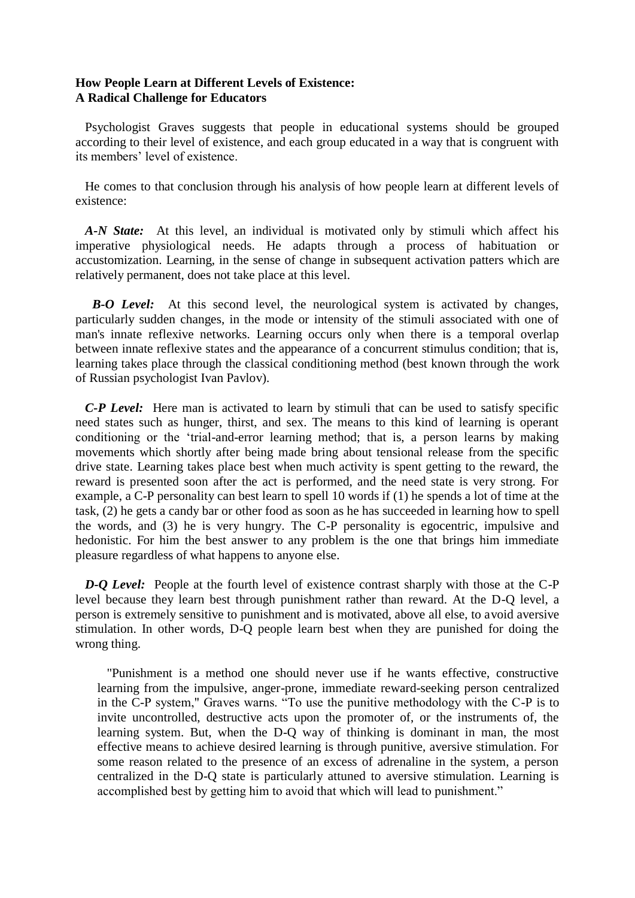## **How People Learn at Different Levels of Existence: A Radical Challenge for Educators**

 Psychologist Graves suggests that people in educational systems should be grouped according to their level of existence, and each group educated in a way that is congruent with its members' level of existence.

 He comes to that conclusion through his analysis of how people learn at different levels of existence:

 *A-N State:* At this level, an individual is motivated only by stimuli which affect his imperative physiological needs. He adapts through a process of habituation or accustomization. Learning, in the sense of change in subsequent activation patters which are relatively permanent, does not take place at this level.

 *B-O Level:* At this second level, the neurological system is activated by changes, particularly sudden changes, in the mode or intensity of the stimuli associated with one of man's innate reflexive networks. Learning occurs only when there is a temporal overlap between innate reflexive states and the appearance of a concurrent stimulus condition; that is, learning takes place through the classical conditioning method (best known through the work of Russian psychologist Ivan Pavlov).

 *C-P Level:* Here man is activated to learn by stimuli that can be used to satisfy specific need states such as hunger, thirst, and sex. The means to this kind of learning is operant conditioning or the 'trial-and-error learning method; that is, a person learns by making movements which shortly after being made bring about tensional release from the specific drive state. Learning takes place best when much activity is spent getting to the reward, the reward is presented soon after the act is performed, and the need state is very strong. For example, a C-P personality can best learn to spell 10 words if (1) he spends a lot of time at the task, (2) he gets a candy bar or other food as soon as he has succeeded in learning how to spell the words, and (3) he is very hungry. The C-P personality is egocentric, impulsive and hedonistic. For him the best answer to any problem is the one that brings him immediate pleasure regardless of what happens to anyone else.

 *D-Q Level:* People at the fourth level of existence contrast sharply with those at the C-P level because they learn best through punishment rather than reward. At the D-Q level, a person is extremely sensitive to punishment and is motivated, above all else, to avoid aversive stimulation. In other words, D-Q people learn best when they are punished for doing the wrong thing.

 "Punishment is a method one should never use if he wants effective, constructive learning from the impulsive, anger-prone, immediate reward-seeking person centralized in the C-P system," Graves warns. "To use the punitive methodology with the C-P is to invite uncontrolled, destructive acts upon the promoter of, or the instruments of, the learning system. But, when the D-Q way of thinking is dominant in man, the most effective means to achieve desired learning is through punitive, aversive stimulation. For some reason related to the presence of an excess of adrenaline in the system, a person centralized in the D-Q state is particularly attuned to aversive stimulation. Learning is accomplished best by getting him to avoid that which will lead to punishment."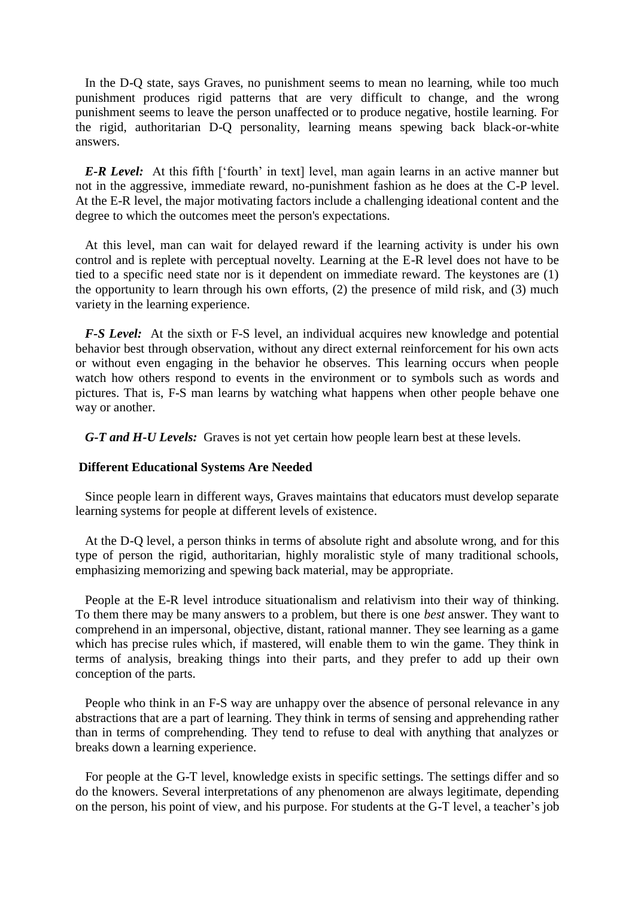In the D-Q state, says Graves, no punishment seems to mean no learning, while too much punishment produces rigid patterns that are very difficult to change, and the wrong punishment seems to leave the person unaffected or to produce negative, hostile learning. For the rigid, authoritarian D-Q personality, learning means spewing back black-or-white answers.

*E-R Level:* At this fifth ['fourth' in text] level, man again learns in an active manner but not in the aggressive, immediate reward, no-punishment fashion as he does at the C-P level. At the E-R level, the major motivating factors include a challenging ideational content and the degree to which the outcomes meet the person's expectations.

 At this level, man can wait for delayed reward if the learning activity is under his own control and is replete with perceptual novelty. Learning at the E-R level does not have to be tied to a specific need state nor is it dependent on immediate reward. The keystones are (1) the opportunity to learn through his own efforts, (2) the presence of mild risk, and (3) much variety in the learning experience.

 *F-S Level:* At the sixth or F-S level, an individual acquires new knowledge and potential behavior best through observation, without any direct external reinforcement for his own acts or without even engaging in the behavior he observes. This learning occurs when people watch how others respond to events in the environment or to symbols such as words and pictures. That is, F-S man learns by watching what happens when other people behave one way or another.

 *G-T and H-U Levels:* Graves is not yet certain how people learn best at these levels.

## **Different Educational Systems Are Needed**

 Since people learn in different ways, Graves maintains that educators must develop separate learning systems for people at different levels of existence.

 At the D-Q level, a person thinks in terms of absolute right and absolute wrong, and for this type of person the rigid, authoritarian, highly moralistic style of many traditional schools, emphasizing memorizing and spewing back material, may be appropriate.

 People at the E-R level introduce situationalism and relativism into their way of thinking. To them there may be many answers to a problem, but there is one *best* answer. They want to comprehend in an impersonal, objective, distant, rational manner. They see learning as a game which has precise rules which, if mastered, will enable them to win the game. They think in terms of analysis, breaking things into their parts, and they prefer to add up their own conception of the parts.

 People who think in an F-S way are unhappy over the absence of personal relevance in any abstractions that are a part of learning. They think in terms of sensing and apprehending rather than in terms of comprehending. They tend to refuse to deal with anything that analyzes or breaks down a learning experience.

 For people at the G-T level, knowledge exists in specific settings. The settings differ and so do the knowers. Several interpretations of any phenomenon are always legitimate, depending on the person, his point of view, and his purpose. For students at the G-T level, a teacher's job